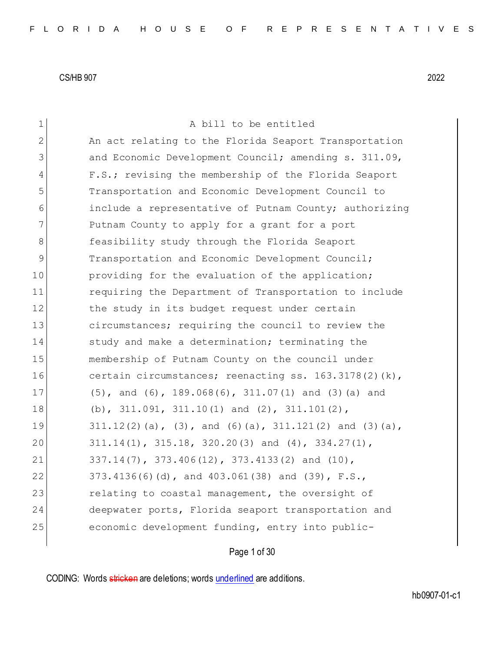| $\mathbf 1$    | A bill to be entitled                                          |
|----------------|----------------------------------------------------------------|
| $\overline{2}$ | An act relating to the Florida Seaport Transportation          |
| 3              | and Economic Development Council; amending s. 311.09,          |
| 4              | F.S.; revising the membership of the Florida Seaport           |
| 5              | Transportation and Economic Development Council to             |
| 6              | include a representative of Putnam County; authorizing         |
| $\overline{7}$ | Putnam County to apply for a grant for a port                  |
| 8              | feasibility study through the Florida Seaport                  |
| 9              | Transportation and Economic Development Council;               |
| 10             | providing for the evaluation of the application;               |
| 11             | requiring the Department of Transportation to include          |
| 12             | the study in its budget request under certain                  |
| 13             | circumstances; requiring the council to review the             |
| 14             | study and make a determination; terminating the                |
| 15             | membership of Putnam County on the council under               |
| 16             | certain circumstances; reenacting ss. $163.3178(2)(k)$ ,       |
| 17             | (5), and (6), 189.068(6), 311.07(1) and (3)(a) and             |
| 18             | (b), $311.091$ , $311.10(1)$ and $(2)$ , $311.101(2)$ ,        |
| 19             | $311.12(2)$ (a), (3), and (6) (a), $311.121(2)$ and (3) (a),   |
| 20             | $311.14(1)$ , $315.18$ , $320.20(3)$ and $(4)$ , $334.27(1)$ , |
| 21             | 337.14(7), 373.406(12), 373.4133(2) and (10),                  |
| 22             | 373.4136(6)(d), and 403.061(38) and (39), F.S.,                |
| 23             | relating to coastal management, the oversight of               |
| 24             | deepwater ports, Florida seaport transportation and            |
| 25             | economic development funding, entry into public-               |
|                |                                                                |

Page 1 of 30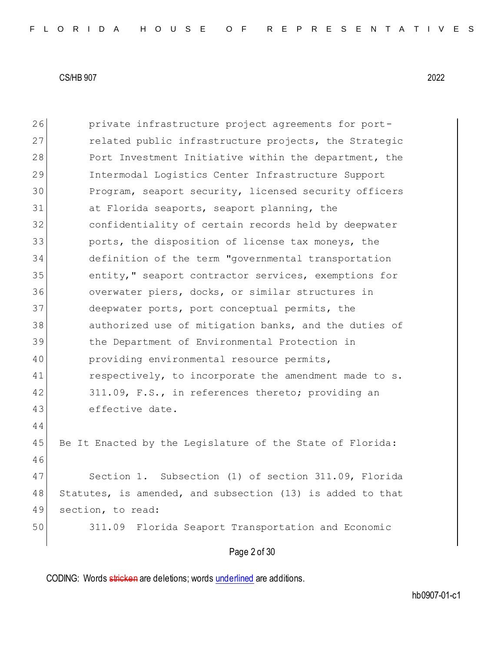26 private infrastructure project agreements for port-27 related public infrastructure projects, the Strategic 28 Port Investment Initiative within the department, the 29 Intermodal Logistics Center Infrastructure Support 30 Program, seaport security, licensed security officers 31 at Florida seaports, seaport planning, the 32 confidentiality of certain records held by deepwater 33 ports, the disposition of license tax moneys, the 34 definition of the term "governmental transportation 35 entity," seaport contractor services, exemptions for 36 overwater piers, docks, or similar structures in 37 deepwater ports, port conceptual permits, the 38 authorized use of mitigation banks, and the duties of 39 the Department of Environmental Protection in 40 providing environmental resource permits, 41 respectively, to incorporate the amendment made to s. 42 311.09, F.S., in references thereto; providing an 43 effective date. 44 45 Be It Enacted by the Legislature of the State of Florida: 46 47 Section 1. Subsection (1) of section 311.09, Florida

48 Statutes, is amended, and subsection (13) is added to that 49 section, to read:

50 311.09 Florida Seaport Transportation and Economic

Page 2 of 30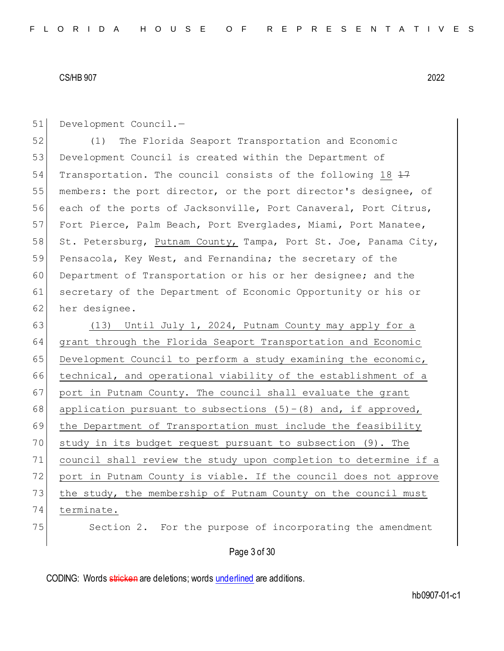51 Development Council.-

52 (1) The Florida Seaport Transportation and Economic 53 Development Council is created within the Department of 54 Transportation. The council consists of the following 18  $\pm$ 7 55 members: the port director, or the port director's designee, of 56 each of the ports of Jacksonville, Port Canaveral, Port Citrus, 57 Fort Pierce, Palm Beach, Port Everglades, Miami, Port Manatee, 58 St. Petersburg, Putnam County, Tampa, Port St. Joe, Panama City, 59 Pensacola, Key West, and Fernandina; the secretary of the 60 Department of Transportation or his or her designee; and the 61 secretary of the Department of Economic Opportunity or his or 62 her designee.

63 (13) Until July 1, 2024, Putnam County may apply for a 64 grant through the Florida Seaport Transportation and Economic 65 Development Council to perform a study examining the economic, 66 technical, and operational viability of the establishment of a 67 port in Putnam County. The council shall evaluate the grant 68 application pursuant to subsections  $(5)-(8)$  and, if approved, 69 the Department of Transportation must include the feasibility 70 study in its budget request pursuant to subsection (9). The 71 council shall review the study upon completion to determine if a 72 port in Putnam County is viable. If the council does not approve 73 the study, the membership of Putnam County on the council must 74 terminate. 75 Section 2. For the purpose of incorporating the amendment

## Page 3 of 30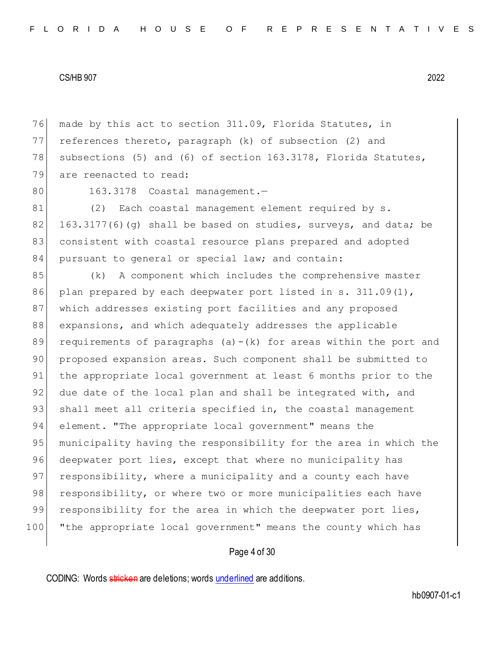76 made by this act to section 311.09, Florida Statutes, in 77 references thereto, paragraph (k) of subsection (2) and 78 subsections (5) and (6) of section  $163.3178$ , Florida Statutes, 79 are reenacted to read:

80 163.3178 Coastal management.

81 (2) Each coastal management element required by s. 82 163.3177(6)(q) shall be based on studies, surveys, and data; be 83 consistent with coastal resource plans prepared and adopted 84 pursuant to general or special law; and contain:

85 (k) A component which includes the comprehensive master 86 plan prepared by each deepwater port listed in s. 311.09(1), 87 which addresses existing port facilities and any proposed 88 expansions, and which adequately addresses the applicable 89 requirements of paragraphs (a)-(k) for areas within the port and 90 proposed expansion areas. Such component shall be submitted to 91 the appropriate local government at least 6 months prior to the 92 due date of the local plan and shall be integrated with, and 93 shall meet all criteria specified in, the coastal management 94 element. "The appropriate local government" means the 95 municipality having the responsibility for the area in which the 96 deepwater port lies, except that where no municipality has 97 responsibility, where a municipality and a county each have 98 responsibility, or where two or more municipalities each have 99 responsibility for the area in which the deepwater port lies, 100 | "the appropriate local government" means the county which has

#### Page 4 of 30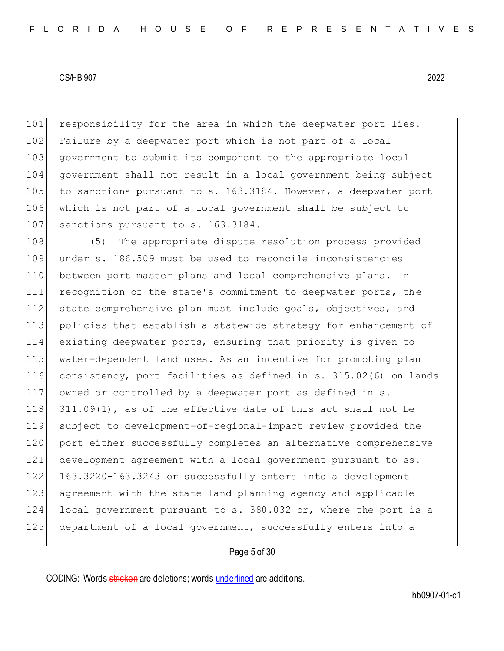responsibility for the area in which the deepwater port lies. 102 Failure by a deepwater port which is not part of a local 103 government to submit its component to the appropriate local government shall not result in a local government being subject 105 to sanctions pursuant to s. 163.3184. However, a deepwater port which is not part of a local government shall be subject to 107 sanctions pursuant to s. 163.3184.

 (5) The appropriate dispute resolution process provided under s. 186.509 must be used to reconcile inconsistencies between port master plans and local comprehensive plans. In recognition of the state's commitment to deepwater ports, the state comprehensive plan must include goals, objectives, and policies that establish a statewide strategy for enhancement of existing deepwater ports, ensuring that priority is given to water-dependent land uses. As an incentive for promoting plan consistency, port facilities as defined in s. 315.02(6) on lands owned or controlled by a deepwater port as defined in s. 118 311.09(1), as of the effective date of this act shall not be subject to development-of-regional-impact review provided the port either successfully completes an alternative comprehensive development agreement with a local government pursuant to ss. 163.3220-163.3243 or successfully enters into a development 123 agreement with the state land planning agency and applicable local government pursuant to s. 380.032 or, where the port is a department of a local government, successfully enters into a

#### Page 5 of 30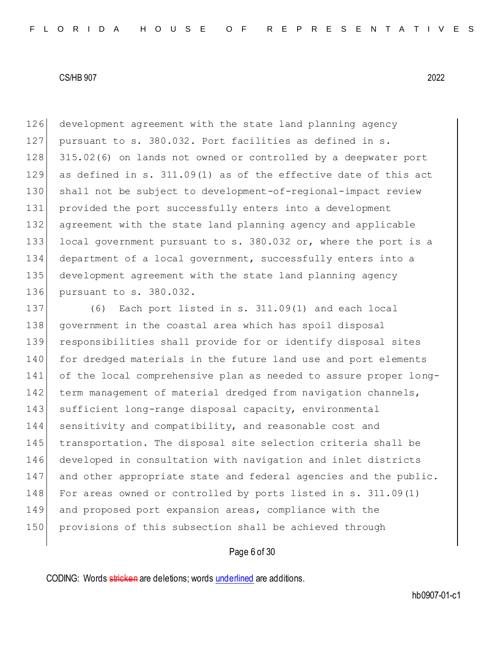development agreement with the state land planning agency 127 pursuant to s. 380.032. Port facilities as defined in s. 128 315.02(6) on lands not owned or controlled by a deepwater port as defined in s. 311.09(1) as of the effective date of this act 130 shall not be subject to development-of-regional-impact review provided the port successfully enters into a development agreement with the state land planning agency and applicable 133 local government pursuant to s. 380.032 or, where the port is a department of a local government, successfully enters into a development agreement with the state land planning agency pursuant to s. 380.032.

137 (6) Each port listed in s. 311.09(1) and each local 138 government in the coastal area which has spoil disposal responsibilities shall provide for or identify disposal sites for dredged materials in the future land use and port elements of the local comprehensive plan as needed to assure proper long-142 term management of material dredged from navigation channels, sufficient long-range disposal capacity, environmental sensitivity and compatibility, and reasonable cost and transportation. The disposal site selection criteria shall be developed in consultation with navigation and inlet districts and other appropriate state and federal agencies and the public. 148 For areas owned or controlled by ports listed in s. 311.09(1) and proposed port expansion areas, compliance with the provisions of this subsection shall be achieved through

## Page 6 of 30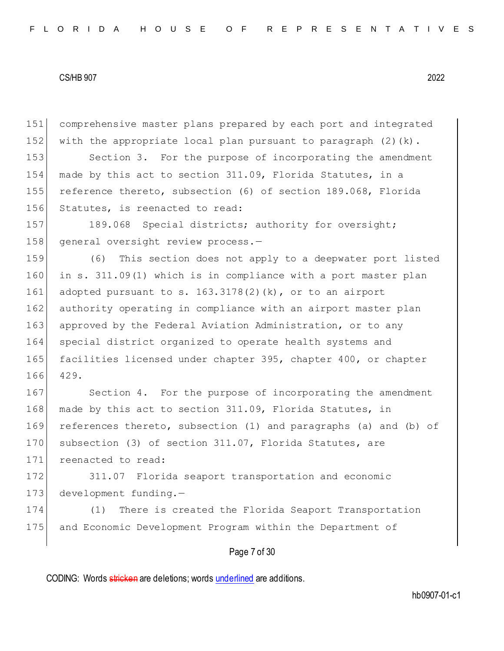Page 7 of 30 151 comprehensive master plans prepared by each port and integrated 152 with the appropriate local plan pursuant to paragraph  $(2)(k)$ . 153 Section 3. For the purpose of incorporating the amendment 154 made by this act to section 311.09, Florida Statutes, in a 155 reference thereto, subsection (6) of section 189.068, Florida 156 Statutes, is reenacted to read: 157 189.068 Special districts; authority for oversight; 158 general oversight review process.-159 (6) This section does not apply to a deepwater port listed 160 in s. 311.09(1) which is in compliance with a port master plan 161 adopted pursuant to s.  $163.3178(2)(k)$ , or to an airport 162 authority operating in compliance with an airport master plan 163 approved by the Federal Aviation Administration, or to any 164 special district organized to operate health systems and 165 facilities licensed under chapter 395, chapter 400, or chapter 166 429. 167 Section 4. For the purpose of incorporating the amendment 168 made by this act to section 311.09, Florida Statutes, in 169 references thereto, subsection (1) and paragraphs (a) and (b) of 170 subsection (3) of section 311.07, Florida Statutes, are 171 reenacted to read: 172 311.07 Florida seaport transportation and economic 173 development funding.-174 (1) There is created the Florida Seaport Transportation 175 and Economic Development Program within the Department of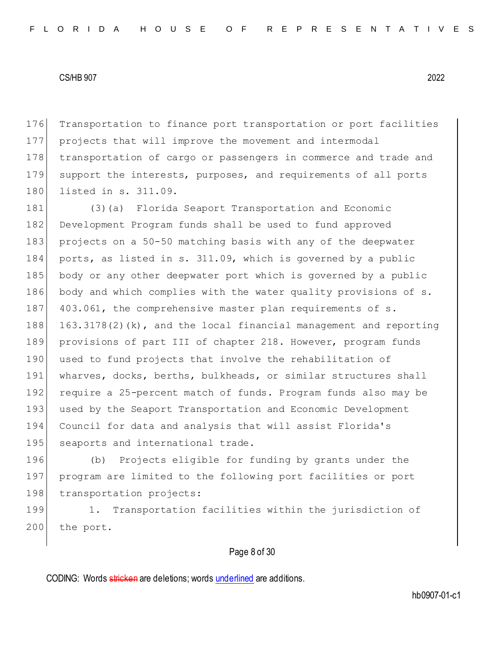176 Transportation to finance port transportation or port facilities 177 projects that will improve the movement and intermodal 178 transportation of cargo or passengers in commerce and trade and 179 support the interests, purposes, and requirements of all ports 180 listed in s. 311.09.

181 (3)(a) Florida Seaport Transportation and Economic 182 Development Program funds shall be used to fund approved 183 projects on a 50-50 matching basis with any of the deepwater 184 ports, as listed in s.  $311.09$ , which is governed by a public 185 body or any other deepwater port which is governed by a public 186 body and which complies with the water quality provisions of s. 187 403.061, the comprehensive master plan requirements of s. 188 163.3178(2)(k), and the local financial management and reporting 189 provisions of part III of chapter 218. However, program funds 190 used to fund projects that involve the rehabilitation of 191 wharves, docks, berths, bulkheads, or similar structures shall 192 require a 25-percent match of funds. Program funds also may be 193 used by the Seaport Transportation and Economic Development 194 Council for data and analysis that will assist Florida's 195 seaports and international trade.

196 (b) Projects eligible for funding by grants under the 197 program are limited to the following port facilities or port 198 transportation projects:

199 1. Transportation facilities within the jurisdiction of 200 the port.

## Page 8 of 30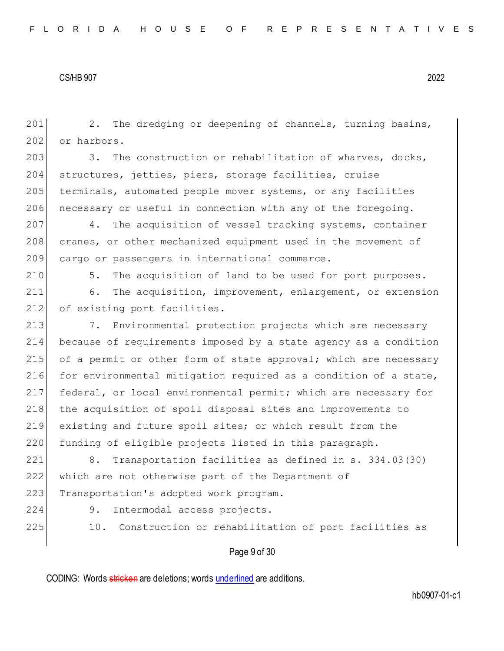201 2. The dredging or deepening of channels, turning basins, 202 or harbors.

 3. The construction or rehabilitation of wharves, docks, structures, jetties, piers, storage facilities, cruise terminals, automated people mover systems, or any facilities 206 necessary or useful in connection with any of the foregoing.

207 4. The acquisition of vessel tracking systems, container 208 cranes, or other mechanized equipment used in the movement of 209 cargo or passengers in international commerce.

210 5. The acquisition of land to be used for port purposes.

211 6. The acquisition, improvement, enlargement, or extension 212 of existing port facilities.

 7. Environmental protection projects which are necessary because of requirements imposed by a state agency as a condition of a permit or other form of state approval; which are necessary 216 for environmental mitigation required as a condition of a state, 217 federal, or local environmental permit; which are necessary for the acquisition of spoil disposal sites and improvements to existing and future spoil sites; or which result from the 220 funding of eligible projects listed in this paragraph.

221 8. Transportation facilities as defined in s. 334.03(30) 222 which are not otherwise part of the Department of 223 Transportation's adopted work program.

224 9. Intermodal access projects.

225 10. Construction or rehabilitation of port facilities as

## Page 9 of 30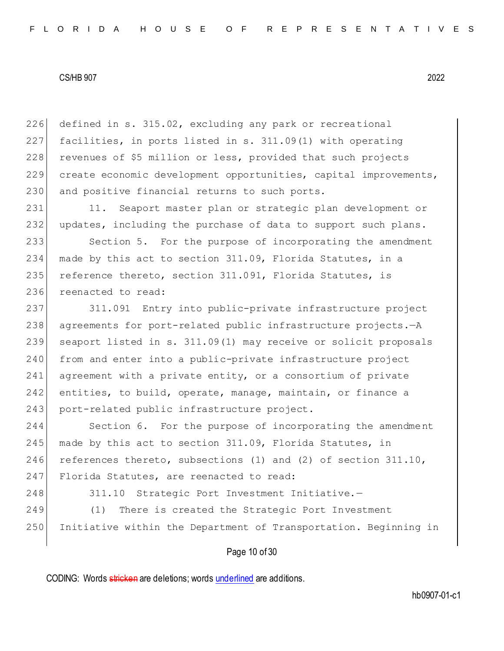226 defined in s. 315.02, excluding any park or recreational 227 facilities, in ports listed in s. 311.09(1) with operating 228 revenues of \$5 million or less, provided that such projects 229 create economic development opportunities, capital improvements, 230 and positive financial returns to such ports.

231 11. Seaport master plan or strategic plan development or 232 updates, including the purchase of data to support such plans.

233 Section 5. For the purpose of incorporating the amendment 234 made by this act to section 311.09, Florida Statutes, in a 235 reference thereto, section 311.091, Florida Statutes, is 236 reenacted to read:

237 311.091 Entry into public-private infrastructure project 238 agreements for port-related public infrastructure projects.—A 239 seaport listed in s. 311.09(1) may receive or solicit proposals 240 from and enter into a public-private infrastructure project 241 agreement with a private entity, or a consortium of private 242 entities, to build, operate, manage, maintain, or finance a 243 port-related public infrastructure project.

244 Section 6. For the purpose of incorporating the amendment 245 made by this act to section  $311.09$ , Florida Statutes, in 246 references thereto, subsections (1) and (2) of section 311.10, 247 Florida Statutes, are reenacted to read:

248 311.10 Strategic Port Investment Initiative.—

249 (1) There is created the Strategic Port Investment 250 Initiative within the Department of Transportation. Beginning in

## Page 10 of 30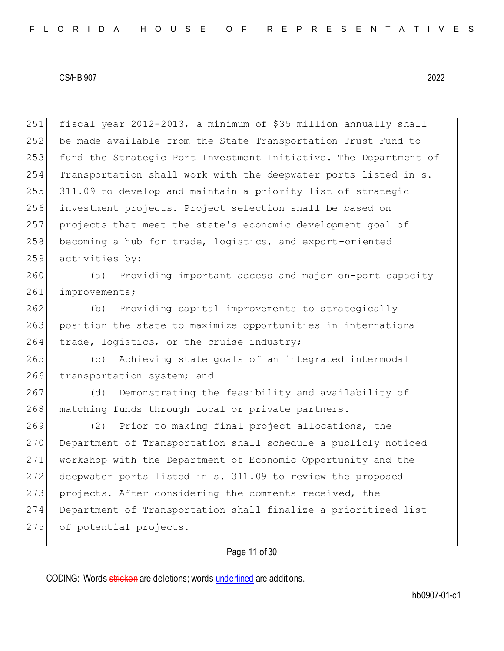251 fiscal year 2012-2013, a minimum of \$35 million annually shall 252 be made available from the State Transportation Trust Fund to 253 fund the Strategic Port Investment Initiative. The Department of 254 Transportation shall work with the deepwater ports listed in s. 255 311.09 to develop and maintain a priority list of strategic 256 investment projects. Project selection shall be based on 257 projects that meet the state's economic development goal of 258 becoming a hub for trade, logistics, and export-oriented 259 activities by:

260 (a) Providing important access and major on-port capacity 261 improvements;

262 (b) Providing capital improvements to strategically 263 position the state to maximize opportunities in international 264 trade, logistics, or the cruise industry;

265 (c) Achieving state goals of an integrated intermodal 266 transportation system; and

267 (d) Demonstrating the feasibility and availability of 268 matching funds through local or private partners.

269 (2) Prior to making final project allocations, the 270 Department of Transportation shall schedule a publicly noticed 271 workshop with the Department of Economic Opportunity and the 272 deepwater ports listed in s. 311.09 to review the proposed 273 projects. After considering the comments received, the 274 Department of Transportation shall finalize a prioritized list 275 of potential projects.

## Page 11 of 30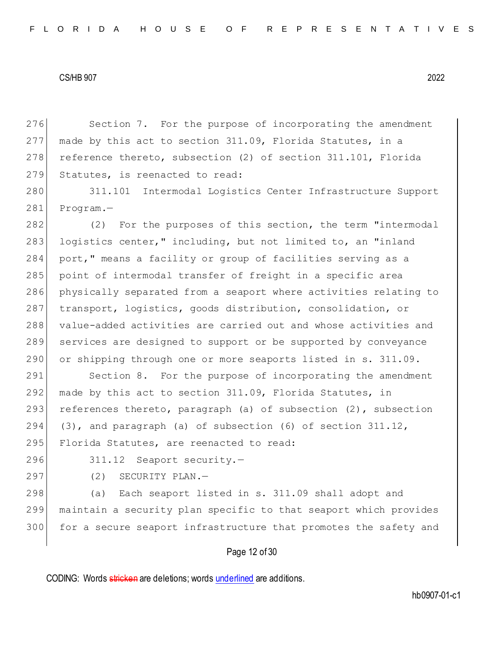276 Section 7. For the purpose of incorporating the amendment 277 made by this act to section 311.09, Florida Statutes, in a 278 reference thereto, subsection (2) of section 311.101, Florida 279 Statutes, is reenacted to read:

280 311.101 Intermodal Logistics Center Infrastructure Support 281 Program.-

282 (2) For the purposes of this section, the term "intermodal 283 logistics center," including, but not limited to, an "inland port," means a facility or group of facilities serving as a point of intermodal transfer of freight in a specific area physically separated from a seaport where activities relating to transport, logistics, goods distribution, consolidation, or value-added activities are carried out and whose activities and 289 services are designed to support or be supported by conveyance or shipping through one or more seaports listed in s. 311.09.

291 Section 8. For the purpose of incorporating the amendment 292 made by this act to section 311.09, Florida Statutes, in 293 references thereto, paragraph (a) of subsection (2), subsection 294 (3), and paragraph (a) of subsection (6) of section  $311.12$ , 295 Florida Statutes, are reenacted to read:

296 311.12 Seaport security.-

297 (2) SECURITY PLAN.

298 (a) Each seaport listed in s. 311.09 shall adopt and 299 maintain a security plan specific to that seaport which provides 300 for a secure seaport infrastructure that promotes the safety and

#### Page 12 of 30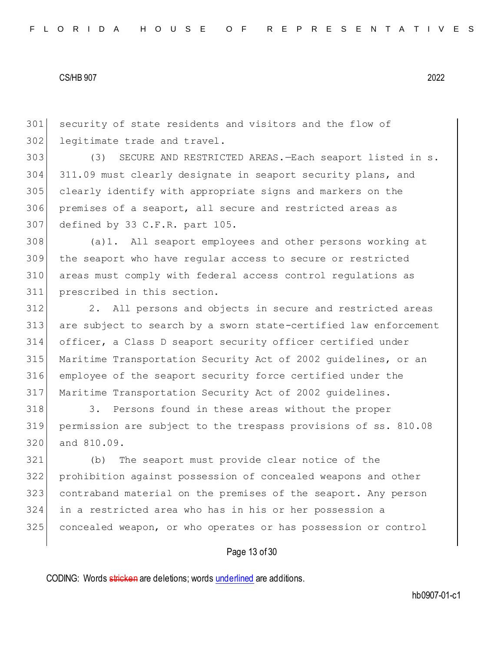security of state residents and visitors and the flow of 302 legitimate trade and travel.

 (3) SECURE AND RESTRICTED AREAS.—Each seaport listed in s. 311.09 must clearly designate in seaport security plans, and clearly identify with appropriate signs and markers on the premises of a seaport, all secure and restricted areas as defined by 33 C.F.R. part 105.

 (a)1. All seaport employees and other persons working at the seaport who have regular access to secure or restricted areas must comply with federal access control regulations as prescribed in this section.

 2. All persons and objects in secure and restricted areas are subject to search by a sworn state-certified law enforcement officer, a Class D seaport security officer certified under Maritime Transportation Security Act of 2002 guidelines, or an employee of the seaport security force certified under the Maritime Transportation Security Act of 2002 guidelines.

318 3. Persons found in these areas without the proper permission are subject to the trespass provisions of ss. 810.08 320 and 810.09.

 (b) The seaport must provide clear notice of the prohibition against possession of concealed weapons and other contraband material on the premises of the seaport. Any person in a restricted area who has in his or her possession a concealed weapon, or who operates or has possession or control

## Page 13 of 30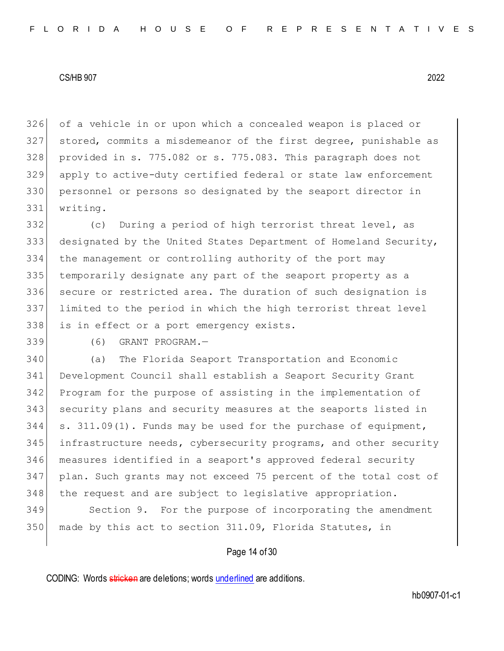of a vehicle in or upon which a concealed weapon is placed or stored, commits a misdemeanor of the first degree, punishable as 328 provided in s. 775.082 or s. 775.083. This paragraph does not apply to active-duty certified federal or state law enforcement personnel or persons so designated by the seaport director in writing.

 (c) During a period of high terrorist threat level, as designated by the United States Department of Homeland Security, the management or controlling authority of the port may temporarily designate any part of the seaport property as a secure or restricted area. The duration of such designation is limited to the period in which the high terrorist threat level 338 is in effect or a port emergency exists.

(6) GRANT PROGRAM.—

 (a) The Florida Seaport Transportation and Economic Development Council shall establish a Seaport Security Grant Program for the purpose of assisting in the implementation of security plans and security measures at the seaports listed in s. 311.09(1). Funds may be used for the purchase of equipment, 345 infrastructure needs, cybersecurity programs, and other security measures identified in a seaport's approved federal security plan. Such grants may not exceed 75 percent of the total cost of 348 the request and are subject to legislative appropriation.

 Section 9. For the purpose of incorporating the amendment made by this act to section 311.09, Florida Statutes, in

## Page 14 of 30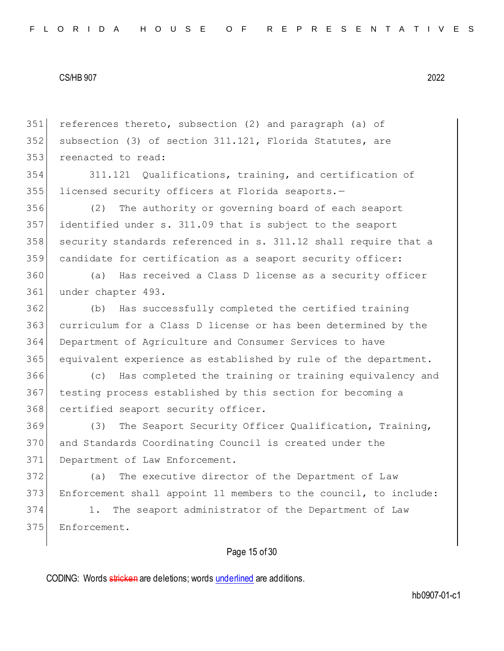references thereto, subsection (2) and paragraph (a) of subsection (3) of section 311.121, Florida Statutes, are reenacted to read:

 311.121 Qualifications, training, and certification of 355 licensed security officers at Florida seaports.-

 (2) The authority or governing board of each seaport identified under s. 311.09 that is subject to the seaport 358 security standards referenced in s. 311.12 shall require that a candidate for certification as a seaport security officer:

 (a) Has received a Class D license as a security officer under chapter 493.

 (b) Has successfully completed the certified training curriculum for a Class D license or has been determined by the Department of Agriculture and Consumer Services to have 365 equivalent experience as established by rule of the department.

 (c) Has completed the training or training equivalency and testing process established by this section for becoming a 368 certified seaport security officer.

 (3) The Seaport Security Officer Qualification, Training, and Standards Coordinating Council is created under the 371 Department of Law Enforcement.

 (a) The executive director of the Department of Law Enforcement shall appoint 11 members to the council, to include:

 1. The seaport administrator of the Department of Law Enforcement.

## Page 15 of 30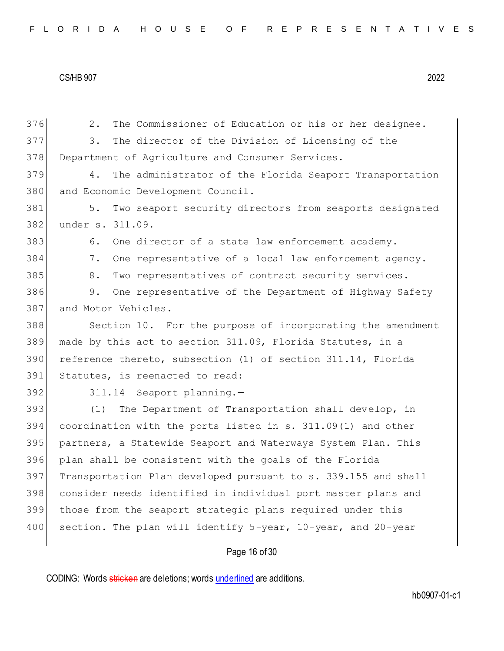| 376 | The Commissioner of Education or his or her designee.<br>2.    |
|-----|----------------------------------------------------------------|
| 377 | The director of the Division of Licensing of the<br>3.         |
| 378 | Department of Agriculture and Consumer Services.               |
| 379 | 4.<br>The administrator of the Florida Seaport Transportation  |
| 380 | and Economic Development Council.                              |
| 381 | Two seaport security directors from seaports designated<br>5.  |
| 382 | under s. 311.09.                                               |
| 383 | One director of a state law enforcement academy.<br>6.         |
| 384 | One representative of a local law enforcement agency.<br>7.    |
| 385 | 8.<br>Two representatives of contract security services.       |
| 386 | 9.<br>One representative of the Department of Highway Safety   |
| 387 | and Motor Vehicles.                                            |
| 388 | Section 10. For the purpose of incorporating the amendment     |
| 389 | made by this act to section 311.09, Florida Statutes, in a     |
| 390 | reference thereto, subsection (1) of section 311.14, Florida   |
| 391 | Statutes, is reenacted to read:                                |
| 392 | 311.14 Seaport planning.-                                      |
| 393 | The Department of Transportation shall develop, in<br>(1)      |
| 394 | coordination with the ports listed in s. 311.09(1) and other   |
| 395 | partners, a Statewide Seaport and Waterways System Plan. This  |
| 396 | plan shall be consistent with the goals of the Florida         |
| 397 | Transportation Plan developed pursuant to s. 339.155 and shall |
| 398 | consider needs identified in individual port master plans and  |
| 399 | those from the seaport strategic plans required under this     |
| 400 | section. The plan will identify 5-year, 10-year, and 20-year   |
|     |                                                                |

Page 16 of 30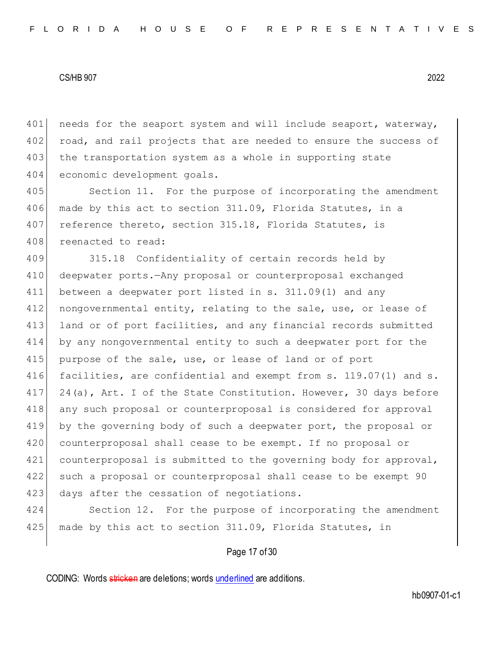401 needs for the seaport system and will include seaport, waterway, 402 road, and rail projects that are needed to ensure the success of 403 the transportation system as a whole in supporting state 404 economic development goals.

405 Section 11. For the purpose of incorporating the amendment 406 made by this act to section 311.09, Florida Statutes, in a 407 reference thereto, section 315.18, Florida Statutes, is 408 reenacted to read:

409 315.18 Confidentiality of certain records held by 410 deepwater ports.—Any proposal or counterproposal exchanged 411 between a deepwater port listed in s. 311.09(1) and any 412 nongovernmental entity, relating to the sale, use, or lease of 413 land or of port facilities, and any financial records submitted 414 by any nongovernmental entity to such a deepwater port for the 415 purpose of the sale, use, or lease of land or of port 416 facilities, are confidential and exempt from s. 119.07(1) and s. 417 24(a), Art. I of the State Constitution. However, 30 days before 418 any such proposal or counterproposal is considered for approval 419 by the governing body of such a deepwater port, the proposal or 420 counterproposal shall cease to be exempt. If no proposal or 421 counterproposal is submitted to the governing body for approval, 422 such a proposal or counterproposal shall cease to be exempt 90 423 days after the cessation of negotiations.

424 Section 12. For the purpose of incorporating the amendment 425 made by this act to section 311.09, Florida Statutes, in

#### Page 17 of 30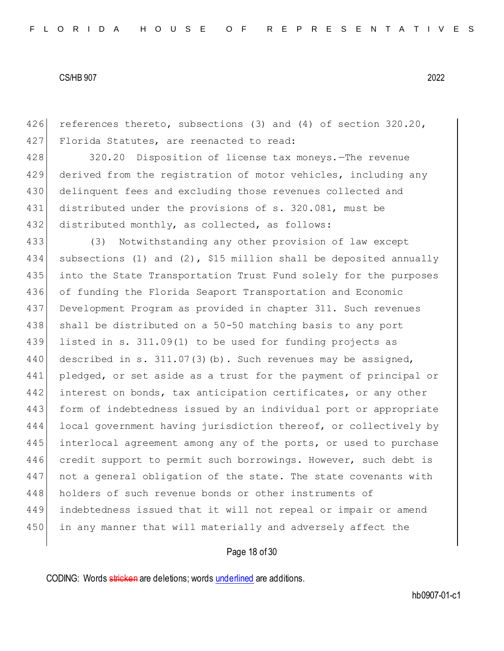426 references thereto, subsections (3) and (4) of section 320.20, 427 Florida Statutes, are reenacted to read:

428 320.20 Disposition of license tax moneys.—The revenue 429 derived from the registration of motor vehicles, including any 430 delinquent fees and excluding those revenues collected and 431 distributed under the provisions of s. 320.081, must be 432 distributed monthly, as collected, as follows:

433 (3) Notwithstanding any other provision of law except 434 subsections (1) and (2), \$15 million shall be deposited annually 435 into the State Transportation Trust Fund solely for the purposes 436 of funding the Florida Seaport Transportation and Economic 437 Development Program as provided in chapter 311. Such revenues 438 shall be distributed on a 50-50 matching basis to any port 439 listed in s. 311.09(1) to be used for funding projects as 440 described in s. 311.07(3)(b). Such revenues may be assigned, 441 pledged, or set aside as a trust for the payment of principal or 442 interest on bonds, tax anticipation certificates, or any other 443 form of indebtedness issued by an individual port or appropriate 444 local government having jurisdiction thereof, or collectively by 445 interlocal agreement among any of the ports, or used to purchase 446 credit support to permit such borrowings. However, such debt is 447 not a general obligation of the state. The state covenants with 448 holders of such revenue bonds or other instruments of 449 indebtedness issued that it will not repeal or impair or amend 450 in any manner that will materially and adversely affect the

## Page 18 of 30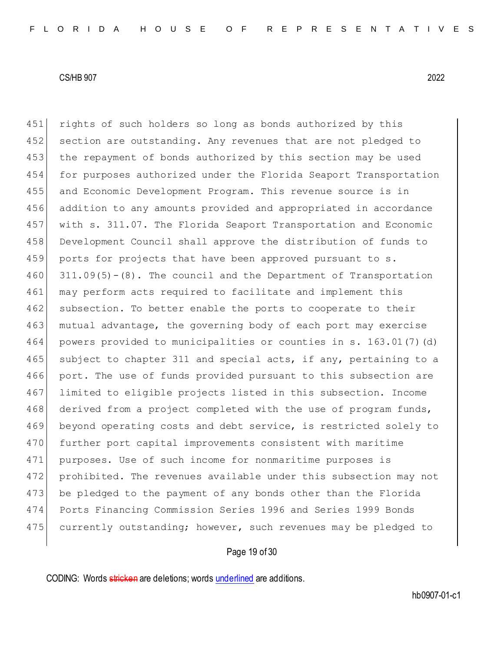451 rights of such holders so long as bonds authorized by this 452 section are outstanding. Any revenues that are not pledged to 453 the repayment of bonds authorized by this section may be used 454 for purposes authorized under the Florida Seaport Transportation 455 and Economic Development Program. This revenue source is in 456 addition to any amounts provided and appropriated in accordance 457 with s. 311.07. The Florida Seaport Transportation and Economic 458 Development Council shall approve the distribution of funds to 459 ports for projects that have been approved pursuant to s.  $460$  311.09(5) - (8). The council and the Department of Transportation 461 may perform acts required to facilitate and implement this 462 subsection. To better enable the ports to cooperate to their 463 mutual advantage, the governing body of each port may exercise 464 powers provided to municipalities or counties in s. 163.01(7)(d) 465 subject to chapter 311 and special acts, if any, pertaining to a 466 port. The use of funds provided pursuant to this subsection are 467 limited to eligible projects listed in this subsection. Income 468 derived from a project completed with the use of program funds, 469 beyond operating costs and debt service, is restricted solely to 470 further port capital improvements consistent with maritime 471 purposes. Use of such income for nonmaritime purposes is 472 prohibited. The revenues available under this subsection may not 473 be pledged to the payment of any bonds other than the Florida 474 Ports Financing Commission Series 1996 and Series 1999 Bonds 475 currently outstanding; however, such revenues may be pledged to

## Page 19 of 30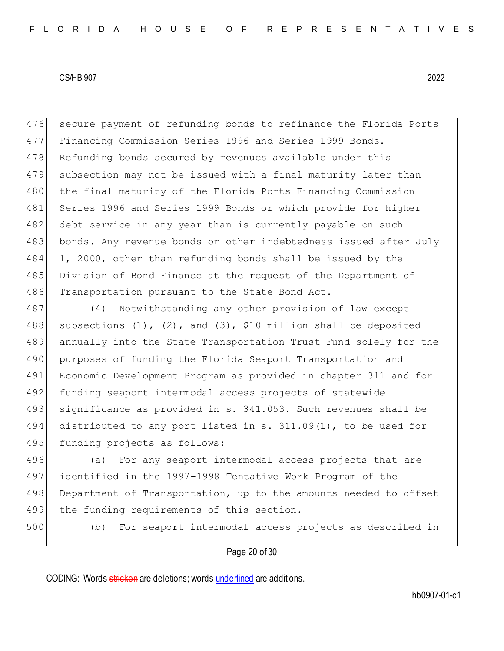476 secure payment of refunding bonds to refinance the Florida Ports 477 Financing Commission Series 1996 and Series 1999 Bonds. 478 Refunding bonds secured by revenues available under this 479 subsection may not be issued with a final maturity later than 480 the final maturity of the Florida Ports Financing Commission 481 Series 1996 and Series 1999 Bonds or which provide for higher 482 debt service in any year than is currently payable on such 483 bonds. Any revenue bonds or other indebtedness issued after July  $484$  1, 2000, other than refunding bonds shall be issued by the 485 Division of Bond Finance at the request of the Department of 486 Transportation pursuant to the State Bond Act.

487 (4) Notwithstanding any other provision of law except 488 subsections  $(1)$ ,  $(2)$ , and  $(3)$ , \$10 million shall be deposited 489 annually into the State Transportation Trust Fund solely for the 490 purposes of funding the Florida Seaport Transportation and 491 Economic Development Program as provided in chapter 311 and for 492 funding seaport intermodal access projects of statewide 493 significance as provided in s. 341.053. Such revenues shall be 494 distributed to any port listed in s. 311.09(1), to be used for 495 funding projects as follows:

496 (a) For any seaport intermodal access projects that are 497 identified in the 1997-1998 Tentative Work Program of the 498 Department of Transportation, up to the amounts needed to offset 499 the funding requirements of this section.

500 (b) For seaport intermodal access projects as described in

## Page 20 of 30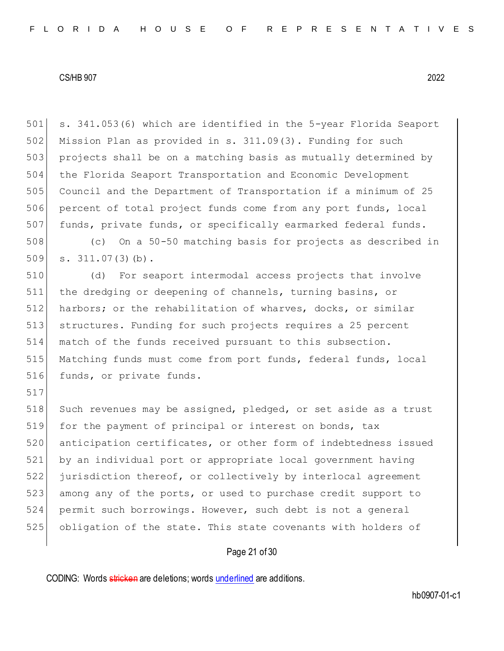s. 341.053(6) which are identified in the 5-year Florida Seaport Mission Plan as provided in s. 311.09(3). Funding for such 503 projects shall be on a matching basis as mutually determined by the Florida Seaport Transportation and Economic Development Council and the Department of Transportation if a minimum of 25 percent of total project funds come from any port funds, local funds, private funds, or specifically earmarked federal funds.

 (c) On a 50-50 matching basis for projects as described in s.  $311.07(3)(b)$ .

 (d) For seaport intermodal access projects that involve 511 the dredging or deepening of channels, turning basins, or harbors; or the rehabilitation of wharves, docks, or similar structures. Funding for such projects requires a 25 percent match of the funds received pursuant to this subsection. Matching funds must come from port funds, federal funds, local 516 funds, or private funds.

518 Such revenues may be assigned, pledged, or set aside as a trust for the payment of principal or interest on bonds, tax 520 anticipation certificates, or other form of indebtedness issued by an individual port or appropriate local government having jurisdiction thereof, or collectively by interlocal agreement among any of the ports, or used to purchase credit support to permit such borrowings. However, such debt is not a general obligation of the state. This state covenants with holders of

## Page 21 of 30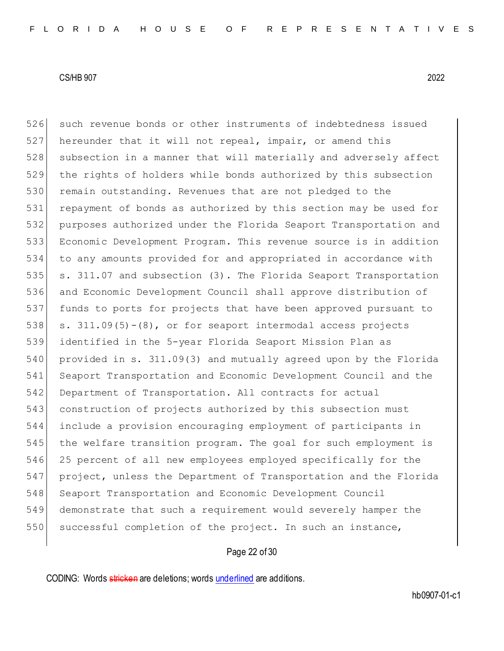such revenue bonds or other instruments of indebtedness issued 527 hereunder that it will not repeal, impair, or amend this 528 subsection in a manner that will materially and adversely affect the rights of holders while bonds authorized by this subsection 530 remain outstanding. Revenues that are not pledged to the repayment of bonds as authorized by this section may be used for purposes authorized under the Florida Seaport Transportation and Economic Development Program. This revenue source is in addition to any amounts provided for and appropriated in accordance with s. 311.07 and subsection (3). The Florida Seaport Transportation and Economic Development Council shall approve distribution of funds to ports for projects that have been approved pursuant to 538 s.  $311.09(5)-(8)$ , or for seaport intermodal access projects identified in the 5-year Florida Seaport Mission Plan as provided in s. 311.09(3) and mutually agreed upon by the Florida Seaport Transportation and Economic Development Council and the Department of Transportation. All contracts for actual construction of projects authorized by this subsection must include a provision encouraging employment of participants in 545 the welfare transition program. The goal for such employment is 25 percent of all new employees employed specifically for the project, unless the Department of Transportation and the Florida Seaport Transportation and Economic Development Council demonstrate that such a requirement would severely hamper the 550 successful completion of the project. In such an instance,

## Page 22 of 30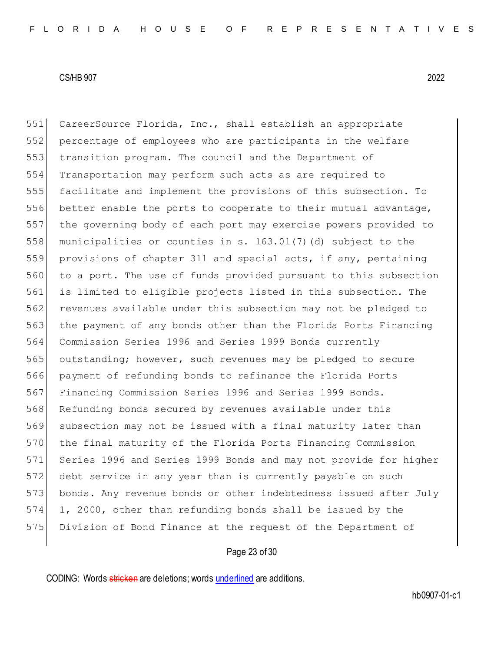CareerSource Florida, Inc., shall establish an appropriate percentage of employees who are participants in the welfare transition program. The council and the Department of Transportation may perform such acts as are required to facilitate and implement the provisions of this subsection. To 556 better enable the ports to cooperate to their mutual advantage, the governing body of each port may exercise powers provided to municipalities or counties in s. 163.01(7)(d) subject to the provisions of chapter 311 and special acts, if any, pertaining to a port. The use of funds provided pursuant to this subsection is limited to eligible projects listed in this subsection. The revenues available under this subsection may not be pledged to 563 the payment of any bonds other than the Florida Ports Financing Commission Series 1996 and Series 1999 Bonds currently outstanding; however, such revenues may be pledged to secure payment of refunding bonds to refinance the Florida Ports 567 Financing Commission Series 1996 and Series 1999 Bonds. Refunding bonds secured by revenues available under this subsection may not be issued with a final maturity later than 570 the final maturity of the Florida Ports Financing Commission Series 1996 and Series 1999 Bonds and may not provide for higher debt service in any year than is currently payable on such 573 bonds. Any revenue bonds or other indebtedness issued after July 1, 2000, other than refunding bonds shall be issued by the Division of Bond Finance at the request of the Department of

## Page 23 of 30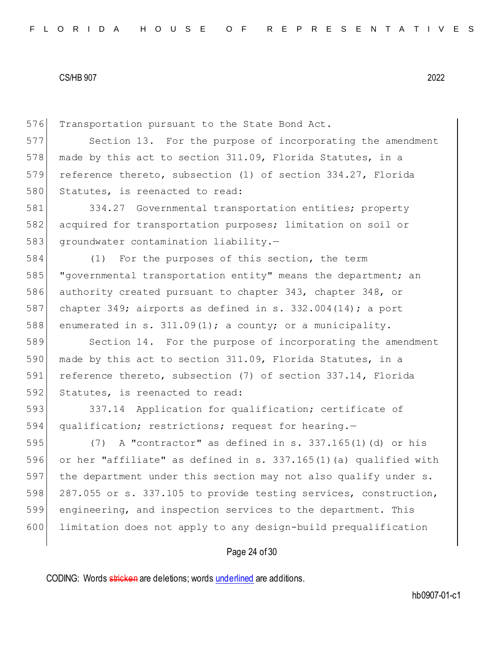576 Transportation pursuant to the State Bond Act.

577 Section 13. For the purpose of incorporating the amendment 578 made by this act to section 311.09, Florida Statutes, in a 579 reference thereto, subsection (1) of section 334.27, Florida 580 Statutes, is reenacted to read:

581 334.27 Governmental transportation entities; property 582 acquired for transportation purposes; limitation on soil or 583 groundwater contamination liability.-

 (1) For the purposes of this section, the term "governmental transportation entity" means the department; an authority created pursuant to chapter 343, chapter 348, or chapter 349; airports as defined in s. 332.004(14); a port 588 enumerated in s.  $311.09(1)$ ; a county; or a municipality.

589 Section 14. For the purpose of incorporating the amendment 590 made by this act to section 311.09, Florida Statutes, in a 591 reference thereto, subsection (7) of section 337.14, Florida 592 Statutes, is reenacted to read:

593 337.14 Application for qualification; certificate of 594 qualification; restrictions; request for hearing.-

 (7) A "contractor" as defined in s. 337.165(1)(d) or his or her "affiliate" as defined in s. 337.165(1)(a) qualified with the department under this section may not also qualify under s. 598 287.055 or s. 337.105 to provide testing services, construction, engineering, and inspection services to the department. This limitation does not apply to any design-build prequalification

## Page 24 of 30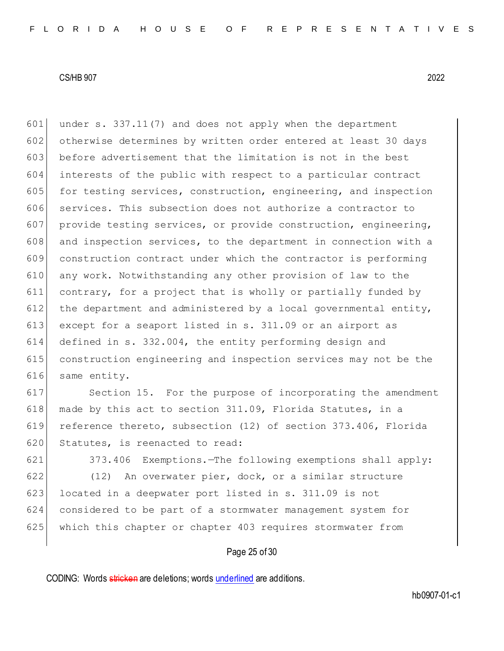under s. 337.11(7) and does not apply when the department otherwise determines by written order entered at least 30 days 603 before advertisement that the limitation is not in the best interests of the public with respect to a particular contract 605 for testing services, construction, engineering, and inspection services. This subsection does not authorize a contractor to provide testing services, or provide construction, engineering, and inspection services, to the department in connection with a construction contract under which the contractor is performing 610 any work. Notwithstanding any other provision of law to the contrary, for a project that is wholly or partially funded by 612 the department and administered by a local governmental entity, except for a seaport listed in s. 311.09 or an airport as defined in s. 332.004, the entity performing design and construction engineering and inspection services may not be the same entity.

617 Section 15. For the purpose of incorporating the amendment 618 made by this act to section 311.09, Florida Statutes, in a 619 reference thereto, subsection (12) of section 373.406, Florida 620 Statutes, is reenacted to read:

 373.406 Exemptions.—The following exemptions shall apply: (12) An overwater pier, dock, or a similar structure 623 located in a deepwater port listed in s. 311.09 is not considered to be part of a stormwater management system for which this chapter or chapter 403 requires stormwater from

## Page 25 of 30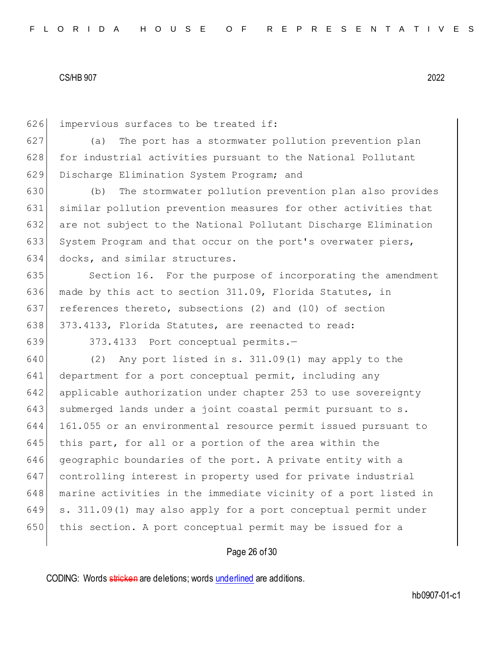626 impervious surfaces to be treated if:

627 (a) The port has a stormwater pollution prevention plan 628 for industrial activities pursuant to the National Pollutant 629 Discharge Elimination System Program; and

 (b) The stormwater pollution prevention plan also provides similar pollution prevention measures for other activities that are not subject to the National Pollutant Discharge Elimination 633 System Program and that occur on the port's overwater piers, docks, and similar structures.

635 Section 16. For the purpose of incorporating the amendment 636 made by this act to section 311.09, Florida Statutes, in 637 references thereto, subsections (2) and (10) of section 638 373.4133, Florida Statutes, are reenacted to read:

639 373.4133 Port conceptual permits.-

640 (2) Any port listed in s. 311.09(1) may apply to the 641 department for a port conceptual permit, including any 642 applicable authorization under chapter 253 to use sovereignty 643 submerged lands under a joint coastal permit pursuant to s. 644 161.055 or an environmental resource permit issued pursuant to 645 this part, for all or a portion of the area within the 646 geographic boundaries of the port. A private entity with a 647 controlling interest in property used for private industrial 648 | marine activities in the immediate vicinity of a port listed in 649 s. 311.09(1) may also apply for a port conceptual permit under 650 this section. A port conceptual permit may be issued for a

## Page 26 of 30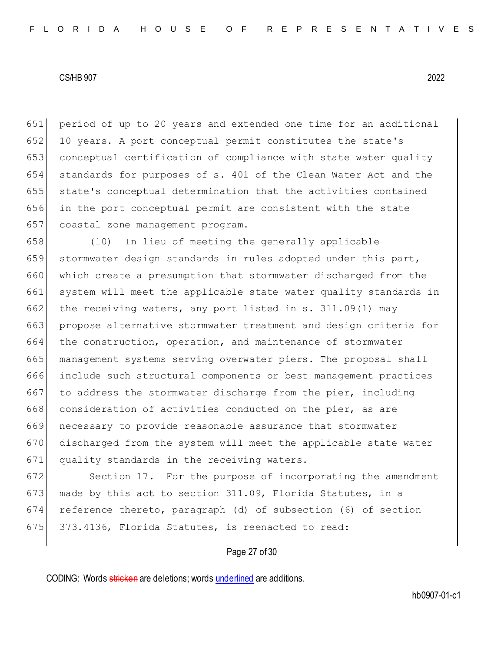period of up to 20 years and extended one time for an additional 652 10 years. A port conceptual permit constitutes the state's conceptual certification of compliance with state water quality standards for purposes of s. 401 of the Clean Water Act and the 655 state's conceptual determination that the activities contained in the port conceptual permit are consistent with the state coastal zone management program.

658 (10) In lieu of meeting the generally applicable 659 stormwater design standards in rules adopted under this part, 660 which create a presumption that stormwater discharged from the 661 system will meet the applicable state water quality standards in 662 the receiving waters, any port listed in s.  $311.09(1)$  may 663 propose alternative stormwater treatment and design criteria for 664 the construction, operation, and maintenance of stormwater 665 management systems serving overwater piers. The proposal shall 666 include such structural components or best management practices 667 to address the stormwater discharge from the pier, including 668 consideration of activities conducted on the pier, as are 669 necessary to provide reasonable assurance that stormwater 670 discharged from the system will meet the applicable state water 671 quality standards in the receiving waters.

672 Section 17. For the purpose of incorporating the amendment 673 made by this act to section 311.09, Florida Statutes, in a 674 reference thereto, paragraph (d) of subsection (6) of section  $675$  373.4136, Florida Statutes, is reenacted to read:

## Page 27 of 30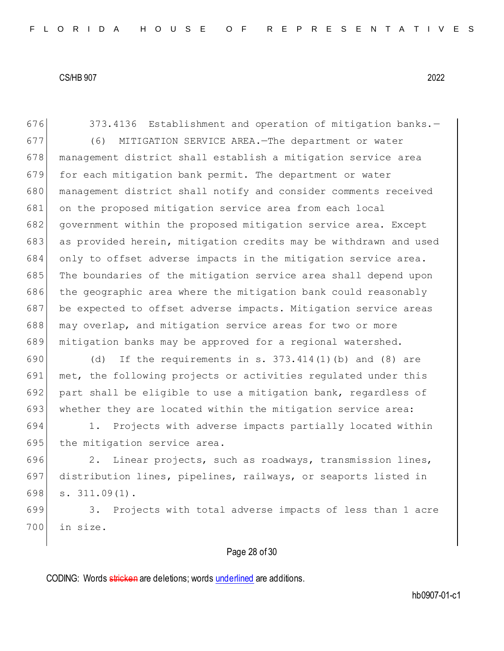676 373.4136 Establishment and operation of mitigation banks. 677 (6) MITIGATION SERVICE AREA.—The department or water 678 management district shall establish a mitigation service area 679 for each mitigation bank permit. The department or water 680 management district shall notify and consider comments received 681 on the proposed mitigation service area from each local 682 government within the proposed mitigation service area. Except 683 as provided herein, mitigation credits may be withdrawn and used 684 only to offset adverse impacts in the mitigation service area. 685 The boundaries of the mitigation service area shall depend upon 686 the geographic area where the mitigation bank could reasonably 687 be expected to offset adverse impacts. Mitigation service areas 688 may overlap, and mitigation service areas for two or more 689 mitigation banks may be approved for a regional watershed. 690 (d) If the requirements in s. 373.414(1)(b) and (8) are

691 met, the following projects or activities regulated under this 692 part shall be eligible to use a mitigation bank, regardless of 693 whether they are located within the mitigation service area:

694 1. Projects with adverse impacts partially located within 695 the mitigation service area.

696 2. Linear projects, such as roadways, transmission lines, 697 distribution lines, pipelines, railways, or seaports listed in 698 s. 311.09(1).

699 3. Projects with total adverse impacts of less than 1 acre 700 in size.

## Page 28 of 30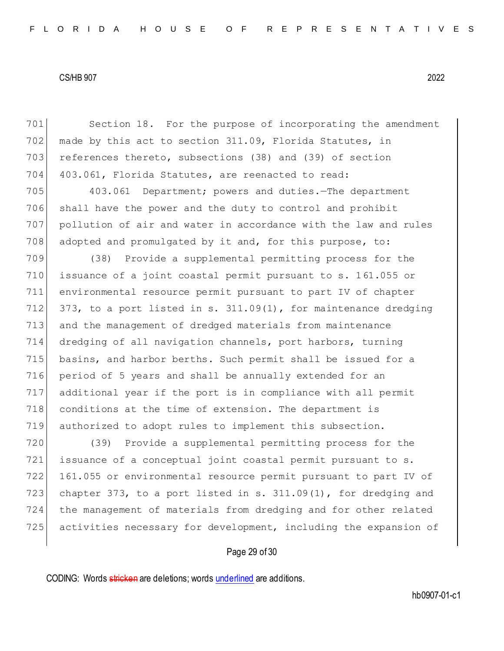Page 29 of 30 701 Section 18. For the purpose of incorporating the amendment 702 made by this act to section 311.09, Florida Statutes, in 703 references thereto, subsections (38) and (39) of section 704 403.061, Florida Statutes, are reenacted to read: 705 403.061 Department; powers and duties.—The department 706 shall have the power and the duty to control and prohibit 707 pollution of air and water in accordance with the law and rules 708 adopted and promulgated by it and, for this purpose, to: 709 (38) Provide a supplemental permitting process for the 710 issuance of a joint coastal permit pursuant to s. 161.055 or 711 environmental resource permit pursuant to part IV of chapter 712 373, to a port listed in s.  $311.09(1)$ , for maintenance dredging 713 and the management of dredged materials from maintenance 714 dredging of all navigation channels, port harbors, turning 715 basins, and harbor berths. Such permit shall be issued for a 716 period of 5 years and shall be annually extended for an 717 additional year if the port is in compliance with all permit 718 conditions at the time of extension. The department is 719 authorized to adopt rules to implement this subsection. 720 (39) Provide a supplemental permitting process for the 721 issuance of a conceptual joint coastal permit pursuant to s. 722 161.055 or environmental resource permit pursuant to part IV of 723 chapter 373, to a port listed in s.  $311.09(1)$ , for dredging and 724 the management of materials from dredging and for other related 725 activities necessary for development, including the expansion of